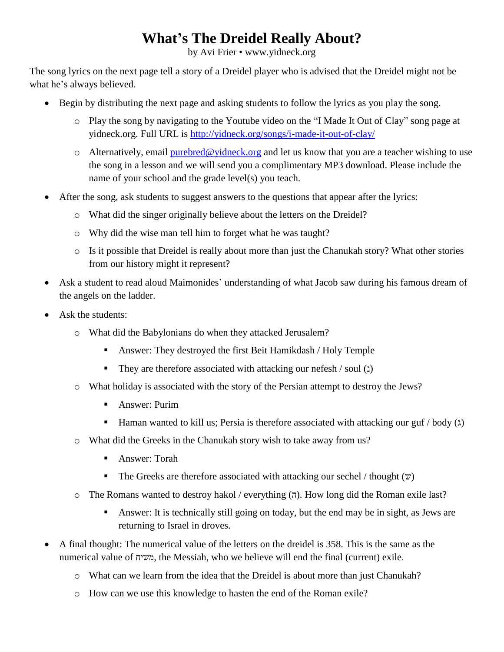## **What's The Dreidel Really About?**

by Avi Frier • www.yidneck.org

The song lyrics on the next page tell a story of a Dreidel player who is advised that the Dreidel might not be what he's always believed.

- Begin by distributing the next page and asking students to follow the lyrics as you play the song.
	- o Play the song by navigating to the Youtube video on the "I Made It Out of Clay" song page at yidneck.org. Full URL is<http://yidneck.org/songs/i-made-it-out-of-clay/>
	- o Alternatively, email [purebred@yidneck.org](mailto:purebred@yidneck.org) and let us know that you are a teacher wishing to use the song in a lesson and we will send you a complimentary MP3 download. Please include the name of your school and the grade level(s) you teach.
- After the song, ask students to suggest answers to the questions that appear after the lyrics:
	- o What did the singer originally believe about the letters on the Dreidel?
	- o Why did the wise man tell him to forget what he was taught?
	- o Is it possible that Dreidel is really about more than just the Chanukah story? What other stories from our history might it represent?
- Ask a student to read aloud Maimonides' understanding of what Jacob saw during his famous dream of the angels on the ladder.
- Ask the students:
	- o What did the Babylonians do when they attacked Jerusalem?
		- Answer: They destroyed the first Beit Hamikdash / Holy Temple
		- They are therefore associated with attacking our nefesh / soul (1)
	- o What holiday is associated with the story of the Persian attempt to destroy the Jews?
		- **Answer: Purim**
		- **Haman wanted to kill us; Persia is therefore associated with attacking our guf / body (** $\lambda$ **)**
	- o What did the Greeks in the Chanukah story wish to take away from us?
		- Answer: Torah
		- The Greeks are therefore associated with attacking our sechel / thought  $(\mathbf{w})$
	- o The Romans wanted to destroy hakol / everything  $(7)$ . How long did the Roman exile last?
		- Answer: It is technically still going on today, but the end may be in sight, as Jews are returning to Israel in droves.
- A final thought: The numerical value of the letters on the dreidel is 358. This is the same as the numerical value of משיח, the Messiah, who we believe will end the final (current) exile.
	- o What can we learn from the idea that the Dreidel is about more than just Chanukah?
	- o How can we use this knowledge to hasten the end of the Roman exile?